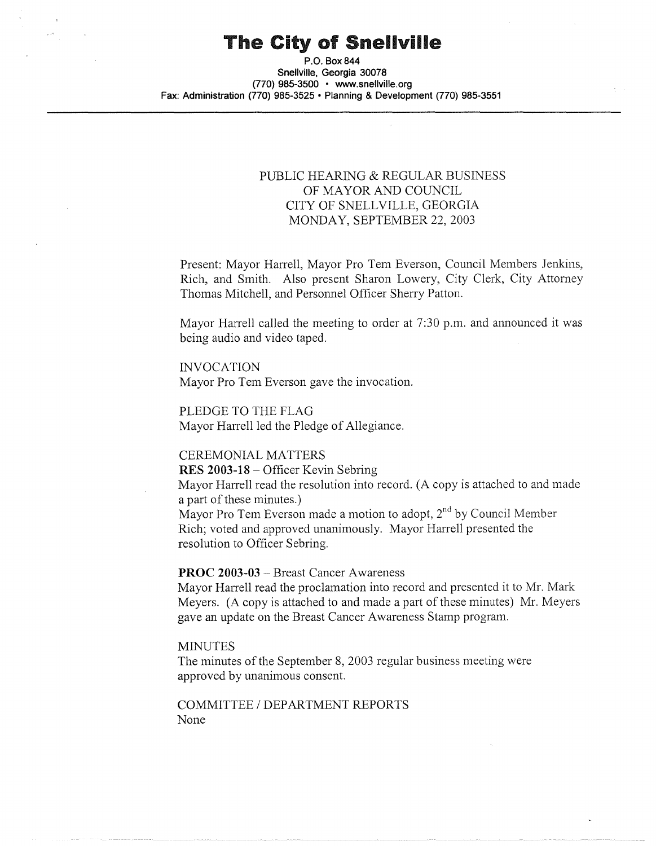# The City of Snellville

**P.O. Box844 Snellville, Georgia 30078 (770) 985-3500 • www.snellville.org Fax: Administration (770) 985-3525 • Planning & Development (770) 985-3551** 

#### PUBLIC HEARING & REGULAR BUSINESS OF MAYOR AND COUNCIL CITY OF SNELL VILLE, GEORGIA MONDAY, SEPTEMBER 22, 2003

Present: Mayor Harrell, Mayor Pro Tern Everson, Council Members Jenkins, Rich, and Smith. Also present Sharon Lowery, City Clerk, City Attorney Thomas Mitchell, and Personnel Officer Sherry Patton.

Mayor Harrell called the meeting to order at 7:30 p.m. and announced it was being audio and video taped.

INVOCATION Mayor Pro Tem Everson gave the invocation.

PLEDGE TO THE FLAG Mayor Harrell led the Pledge of Allegiance.

#### CEREMONIAL MATTERS

**RES 2003-18** - Officer Kevin Sebring

Mayor Harrell read the resolution into record. (A copy is attached to and made a part of these minutes.)

Mayor Pro Tem Everson made a motion to adopt,  $2^{nd}$  by Council Member Rich; voted and approved unanimously. Mayor Harrell presented the resolution to Officer Sebring.

#### **PROC 2003-03** - Breast Cancer Awareness

Mayor Harrell read the proclamation into record and presented it to Mr. Mark Meyers. (A copy is attached to and made a part of these minutes) Mr. Meyers gave an update on the Breast Cancer Awareness Stamp program.

#### **MINUTES**

The minutes of the September 8, 2003 regular business meeting were approved by unanimous consent.

COMMITTEE / DEPARTMENT REPORTS None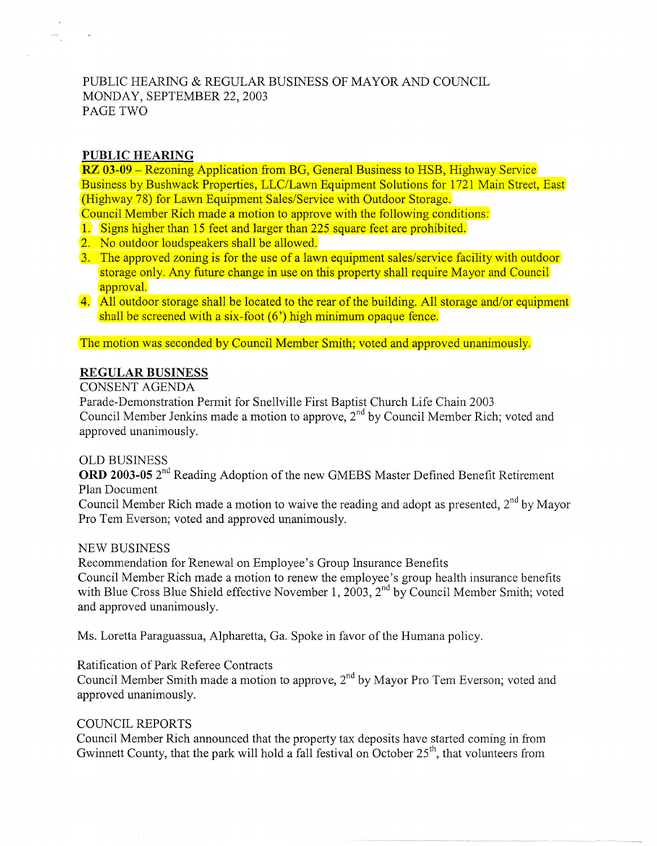# PUBLIC HEARING & REGULAR BUSINESS OF MAYOR AND COUNCIL MONDAY, SEPTEMBER 22, 2003 PAGE TWO

#### **PUBLIC HEARING**

 $\frac{1}{\sqrt{2}}\sum_{i=1}^{n} \frac{1}{\sqrt{2}}\sum_{j=1}^{n} \frac{1}{\sqrt{2}}\sum_{j=1}^{n} \frac{1}{\sqrt{2}}\sum_{j=1}^{n} \frac{1}{\sqrt{2}}\sum_{j=1}^{n} \frac{1}{\sqrt{2}}\sum_{j=1}^{n} \frac{1}{\sqrt{2}}\sum_{j=1}^{n} \frac{1}{\sqrt{2}}\sum_{j=1}^{n} \frac{1}{\sqrt{2}}\sum_{j=1}^{n} \frac{1}{\sqrt{2}}\sum_{j=1}^{n} \frac{1}{\sqrt{2}}\sum_{j=1}^{n}$ 

**RZ 03-09** – Rezoning Application from BG, General Business to HSB, Highway Service Business by Bushwack Properties, LLC/Lawn Equipment Solutions for 1721 Main Street, East (Highway 78) for Lawn Equipment Sales/Service with Outdoor Storage.

Council Member Rich made a motion to approve with the following conditions:

- 1. Signs higher than 15 feet and larger than 225 square feet are prohibited.
- 2. No outdoor loudspeakers shall be allowed.
- 3. The approved zoning is for the use of a lawn equipment sales/service facility with outdoor storage only. Any future change in use on this property shall require Mayor and Council approval.
- 4. All outdoor storage shall be located to the rear of the building. All storage and/or equipment shall be screened with a six-foot (6') high minimum opaque fence.

The motion was seconded by Council Member Smith; voted and approved unanimously.

## **REGULAR BUSINESS**

CONSENT AGENDA

Parade-Demonstration Permit for Snellville First Baptist Church Life Chain 2003 Council Member Jenkins made a motion to approve, 2<sup>nd</sup> by Council Member Rich; voted and approved unanimously.

#### OLD BUSINESS

**ORD 2003-05** 2nd Reading Adoption of the new GMEBS Master Defined Benefit Retirement Plan Document

Council Member Rich made a motion to waive the reading and adopt as presented,  $2<sup>nd</sup>$  by Mayor Pro Tern Everson; voted and approved unanimously.

#### NEW BUSINESS

Recommendation for Renewal on Employee's Group Insurance Benefits Council Member Rich made a motion to renew the employee's group health insurance benefits with Blue Cross Blue Shield effective November 1, 2003, 2<sup>nd</sup> by Council Member Smith; voted and approved unanimously.

Ms. Loretta Paraguassua, Alpharetta, Ga. Spoke in favor of the Humana policy.

Ratification of Park Referee Contracts

Council Member Smith made a motion to approve,  $2<sup>nd</sup>$  by Mayor Pro Tem Everson; voted and approved unanimously.

# COUNCIL REPORTS

Council Member Rich announced that the property tax deposits have started coming in from Gwinnett County, that the park will hold a fall festival on October  $25<sup>th</sup>$ , that volunteers from